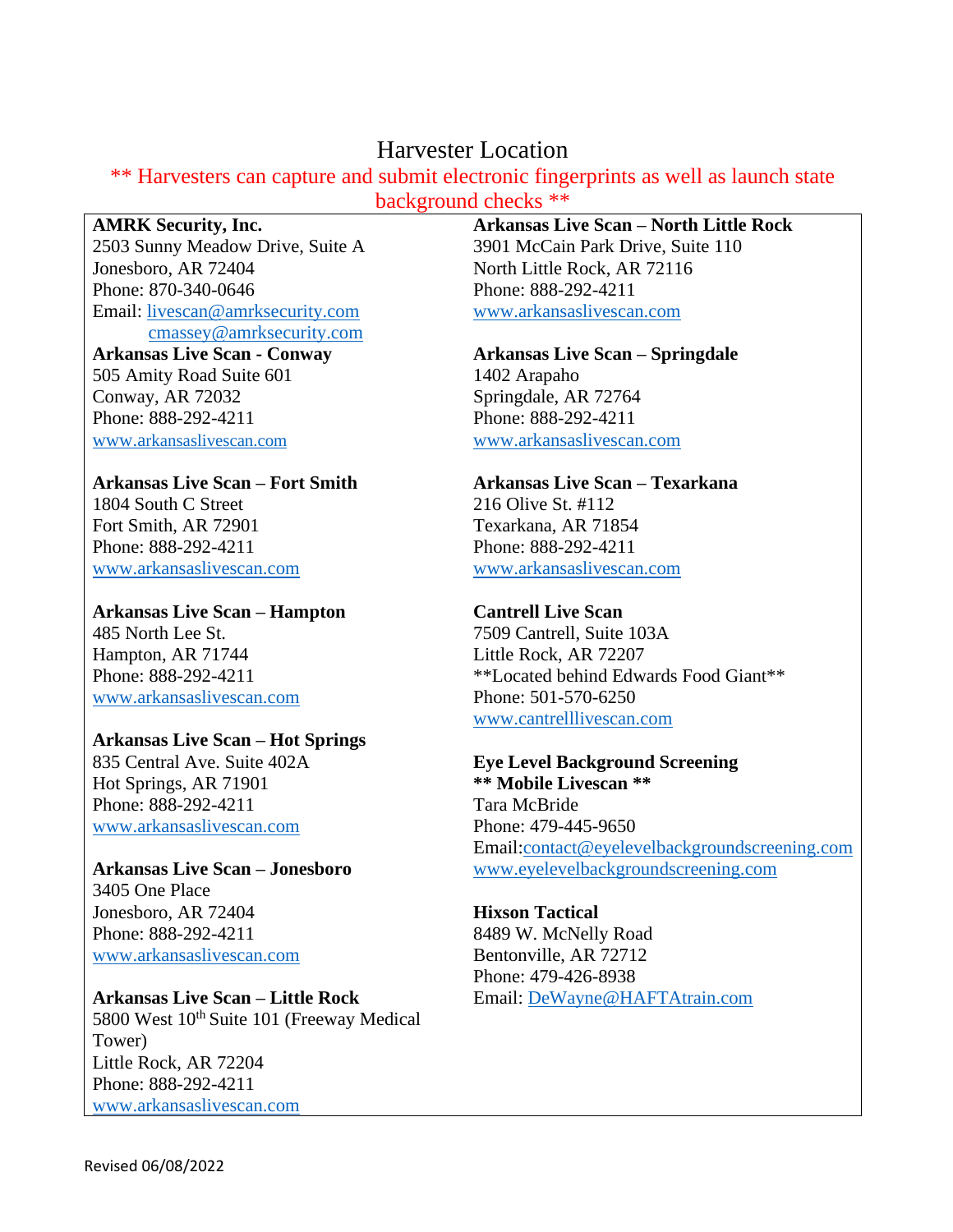## Harvester Location

# \*\* Harvesters can capture and submit electronic fingerprints as well as launch state

background checks \*\*

## **AMRK Security, Inc.**

2503 Sunny Meadow Drive, Suite A Jonesboro, AR 72404 Phone: 870-340-0646 Email: [livescan@amrksecurity.com](mailto:livescan@amrksecurity.com) [cmassey@amrksecurity.com](mailto:cmassey@amrksecurity.com)

#### **Arkansas Live Scan - Conway** 505 Amity Road Suite 601 Conway, AR 72032 Phone: 888-292-4211 [www.a](http://www.arkansaslivescan.com/)[rkansaslivescan.com](http://www.arkansaslivescan.com/)

## **Arkansas Live Scan – Fort Smith**

1804 South C Street Fort Smith, AR 72901 Phone: 888-292-4211 [www.arkansaslivescan.com](http://www.arkansaslivescan.com/)

**Arkansas Live Scan – Hampton** 485 North Lee St. Hampton, AR 71744 Phone: 888-292-4211 [www.arkansaslivescan.com](http://www.arkansaslivescan.com/)

### **Arkansas Live Scan – Hot Springs**

835 Central Ave. Suite 402A Hot Springs, AR 71901 Phone: 888-292-4211 [www.arkansaslivescan.com](http://www.arkansaslivescan.com/)

**Arkansas Live Scan – Jonesboro** 3405 One Place Jonesboro, AR 72404 Phone: 888-292-4211 [www.arkansaslivescan.com](http://www.arkansaslivescan.com/)

**Arkansas Live Scan – Little Rock** 5800 West 10<sup>th</sup> Suite 101 (Freeway Medical Tower) Little Rock, AR 72204 Phone: 888-292-4211 [www.arkansaslivescan.com](http://www.arkansaslivescan.com/)

## **Arkansas Live Scan – North Little Rock**

3901 McCain Park Drive, Suite 110 North Little Rock, AR 72116 Phone: 888-292-4211 [www.arkansaslivescan.com](http://www.arkansaslivescan.com/)

## **Arkansas Live Scan – Springdale**

1402 Arapaho Springdale, AR 72764 Phone: 888-292-4211 [www.arkansaslivescan.com](http://www.arkansaslivescan.com/)

## **Arkansas Live Scan – Texarkana**

216 Olive St. #112 Texarkana, AR 71854 Phone: 888-292-4211 [www.arkansaslivescan.com](http://www.arkansaslivescan.com/)

## **Cantrell Live Scan**

7509 Cantrell, Suite 103A Little Rock, AR 72207 \*\*Located behind Edwards Food Giant\*\* Phone: 501-570-6250 [www.cantrelllivescan.com](http://www.cantrelllivescan.com/)

#### **Eye Level Background Screening \*\* Mobile Livescan \*\*** Tara McBride

Phone: 479-445-9650 Email[:contact@eyelevelbackgroundscreening.com](mailto:contact@eyelevelbackgroundscreening.com) [www.eyelevelbackgroundscreening.com](http://www.eyelevelbackgroundscreening.com/)

### **Hixson Tactical** 8489 W. McNelly Road Bentonville, AR 72712 Phone: 479-426-8938 Email: [DeWayne@HAFTAtrain.com](mailto:DeWayne@HAFTAtrain.com)